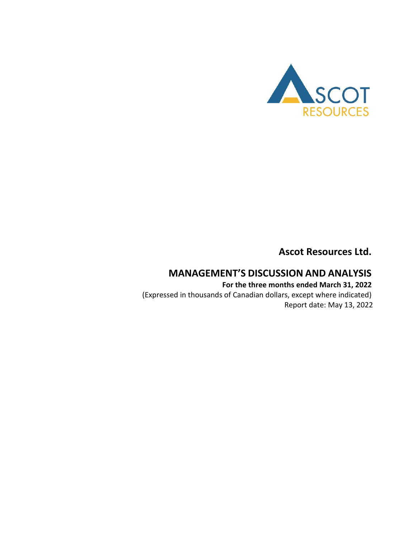

**Ascot Resources Ltd.**

# **MANAGEMENT'S DISCUSSION AND ANALYSIS**

**For the three months ended March 31, 2022** (Expressed in thousands of Canadian dollars, except where indicated) Report date: May 13, 2022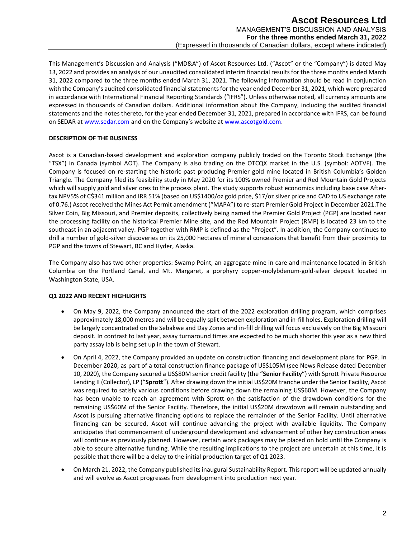This Management's Discussion and Analysis ("MD&A") of Ascot Resources Ltd. ("Ascot" or the "Company") is dated May 13, 2022 and provides an analysis of our unaudited consolidated interim financial results for the three months ended March 31, 2022 compared to the three months ended March 31, 2021. The following information should be read in conjunction with the Company's audited consolidated financial statements for the year ended December 31, 2021, which were prepared in accordance with International Financial Reporting Standards ("IFRS"). Unless otherwise noted, all currency amounts are expressed in thousands of Canadian dollars. Additional information about the Company, including the audited financial statements and the notes thereto, for the year ended December 31, 2021, prepared in accordance with IFRS, can be found on SEDAR a[t www.sedar.com](http://www.sedar.com/) and on the Company's website at [www.ascotgold.com.](http://www.ascotgold.com/)

# **DESCRIPTION OF THE BUSINESS**

Ascot is a Canadian-based development and exploration company publicly traded on the Toronto Stock Exchange (the "TSX") in Canada (symbol AOT). The Company is also trading on the OTCQX market in the U.S. (symbol: AOTVF). The Company is focused on re-starting the historic past producing Premier gold mine located in British Columbia's Golden Triangle. The Company filed its feasibility study in May 2020 for its 100% owned Premier and Red Mountain Gold Projects which will supply gold and silver ores to the process plant. The study supports robust economics including base case Aftertax NPV5% of C\$341 million and IRR 51% (based on US\$1400/oz gold price, \$17/oz silver price and CAD to US exchange rate of 0.76.) Ascot received the Mines Act Permit amendment ("MAPA") to re-start Premier Gold Project in December 2021.The Silver Coin, Big Missouri, and Premier deposits, collectively being named the Premier Gold Project (PGP) are located near the processing facility on the historical Premier Mine site, and the Red Mountain Project (RMP) is located 23 km to the southeast in an adjacent valley. PGP together with RMP is defined as the "Project". In addition, the Company continues to drill a number of gold-silver discoveries on its 25,000 hectares of mineral concessions that benefit from their proximity to PGP and the towns of Stewart, BC and Hyder, Alaska.

The Company also has two other properties: Swamp Point, an aggregate mine in care and maintenance located in British Columbia on the Portland Canal, and Mt. Margaret, a porphyry copper-molybdenum-gold-silver deposit located in Washington State, USA.

# **Q1 2022 AND RECENT HIGHLIGHTS**

- On May 9, 2022, the Company announced the start of the 2022 exploration drilling program, which comprises approximately 18,000 metres and will be equally split between exploration and in-fill holes. Exploration drilling will be largely concentrated on the Sebakwe and Day Zones and in-fill drilling will focus exclusively on the Big Missouri deposit. In contrast to last year, assay turnaround times are expected to be much shorter this year as a new third party assay lab is being set up in the town of Stewart.
- On April 4, 2022, the Company provided an update on construction financing and development plans for PGP. In December 2020, as part of a total construction finance package of US\$105M (see News Release dated [December](https://ascotgold.com/news-releases/2020/ascot-secures-us-105-million-construction-finance-package-for-premier-gold-project/)  [10, 2020](https://ascotgold.com/news-releases/2020/ascot-secures-us-105-million-construction-finance-package-for-premier-gold-project/)), the Company secured a US\$80M senior credit facility (the "**Senior Facility**") with Sprott Private Resource Lending II (Collector), LP ("**Sprott**"). After drawing down the initial US\$20M tranche under the Senior Facility, Ascot was required to satisfy various conditions before drawing down the remaining US\$60M. However, the Company has been unable to reach an agreement with Sprott on the satisfaction of the drawdown conditions for the remaining US\$60M of the Senior Facility. Therefore, the initial US\$20M drawdown will remain outstanding and Ascot is pursuing alternative financing options to replace the remainder of the Senior Facility. Until alternative financing can be secured, Ascot will continue advancing the project with available liquidity. The Company anticipates that commencement of underground development and advancement of other key construction areas will continue as previously planned. However, certain work packages may be placed on hold until the Company is able to secure alternative funding. While the resulting implications to the project are uncertain at this time, it is possible that there will be a delay to the initial production target of Q1 2023.
- On March 21, 2022, the Company published its inaugural Sustainability Report. This report will be updated annually and will evolve as Ascot progresses from development into production next year.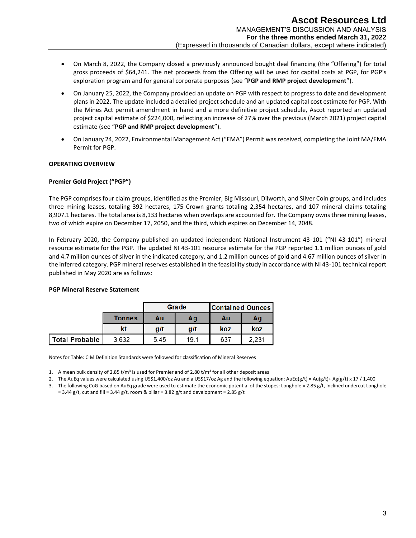- On March 8, 2022, the Company closed a previously announced bought deal financing (the "Offering") for total gross proceeds of \$64,241. The net proceeds from the Offering will be used for capital costs at PGP, for PGP's exploration program and for general corporate purposes (see "**PGP and RMP project development**").
- On January 25, 2022, the Company provided an update on PGP with respect to progress to date and development plans in 2022. The update included a detailed project schedule and an updated capital cost estimate for PGP. With the Mines Act permit amendment in hand and a more definitive project schedule, Ascot reported an updated project capital estimate of \$224,000, reflecting an increase of 27% over the previous (March 2021) project capital estimate (see "**PGP and RMP project development**").
- On January 24, 2022, Environmental Management Act ("EMA") Permit was received, completing the Joint MA/EMA Permit for PGP.

# **OPERATING OVERVIEW**

# **Premier Gold Project ("PGP")**

The PGP comprises four claim groups, identified as the Premier, Big Missouri, Dilworth, and Silver Coin groups, and includes three mining leases, totaling 392 hectares, 175 Crown grants totaling 2,354 hectares, and 107 mineral claims totaling 8,907.1 hectares. The total area is 8,133 hectares when overlaps are accounted for. The Company owns three mining leases, two of which expire on December 17, 2050, and the third, which expires on December 14, 2048.

In February 2020, the Company published an updated independent National Instrument 43-101 ("NI 43-101") mineral resource estimate for the PGP. The updated NI 43-101 resource estimate for the PGP reported 1.1 million ounces of gold and 4.7 million ounces of silver in the indicated category, and 1.2 million ounces of gold and 4.67 million ounces of silver in the inferred category. PGP mineral reserves established in the feasibility study in accordance with NI 43-101 technical report published in May 2020 are as follows:

#### **PGP Mineral Reserve Statement**

|                |               |      | Grade | <b>Contained Ounces</b> |       |
|----------------|---------------|------|-------|-------------------------|-------|
|                | <b>Tonnes</b> | Αu   | Αg    | Αu                      | Αg    |
|                | kt            | g/t  | g/t   | koz                     | koz   |
| Total Probable | 3,632         | 5.45 | 19.1  | 637                     | 2.231 |

Notes for Table: CIM Definition Standards were followed for classification of Mineral Reserves

1. A mean bulk density of 2.85 t/m<sup>3</sup> is used for Premier and of 2.80 t/m<sup>3</sup> for all other deposit areas

2. The AuEq values were calculated using US\$1,400/oz Au and a US\$17/oz Ag and the following equation:  $AuEq(g/t) = Au(g/t) + Ag(g/t) \times 17 / 1,400$ 

3. The following CoG based on AuEq grade were used to estimate the economic potential of the stopes: Longhole =  $2.85$  g/t, Inclined undercut Longhole  $= 3.44$  g/t, cut and fill = 3.44 g/t, room & pillar = 3.82 g/t and development = 2.85 g/t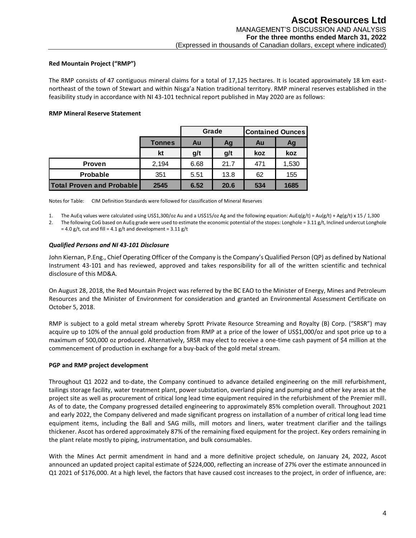# **Red Mountain Project ("RMP")**

The RMP consists of 47 contiguous mineral claims for a total of 17,125 hectares. It is located approximately 18 km eastnortheast of the town of Stewart and within Nisga'a Nation traditional territory. RMP mineral reserves established in the feasibility study in accordance with NI 43-101 technical report published in May 2020 are as follows:

# **RMP Mineral Reserve Statement**

|                                  | Grade<br><b>Contained Ounces</b> |      |      |     |       |
|----------------------------------|----------------------------------|------|------|-----|-------|
|                                  | <b>Tonnes</b>                    | Au   | Ag   | Au  | Ag    |
|                                  | kt                               | g/t  | g/t  | koz | koz   |
| <b>Proven</b>                    | 2.194                            | 6.68 | 21.7 | 471 | 1,530 |
| <b>Probable</b>                  | 351                              | 5.51 | 13.8 | 62  | 155   |
| <b>Total Proven and Probable</b> | 2545                             | 6.52 | 20.6 | 534 | 1685  |

Notes for Table: CIM Definition Standards were followed for classification of Mineral Reserves

1. The AuEq values were calculated using US\$1,300/oz Au and a US\$15/oz Ag and the following equation: AuEq(g/t) = Au(g/t) + Ag(g/t) x 15 / 1,300

2. The following CoG based on AuEq grade were used to estimate the economic potential of the stopes: Longhole =  $3.11$  g/t, Inclined undercut Longhole  $= 4.0$  g/t, cut and fill =  $4.1$  g/t and development =  $3.11$  g/t

# *Qualified Persons and NI 43-101 Disclosure*

John Kiernan, P.Eng., Chief Operating Officer of the Company is the Company's Qualified Person (QP) as defined by National Instrument 43-101 and has reviewed, approved and takes responsibility for all of the written scientific and technical disclosure of this MD&A.

On August 28, 2018, the Red Mountain Project was referred by the BC EAO to the Minister of Energy, Mines and Petroleum Resources and the Minister of Environment for consideration and granted an Environmental Assessment Certificate on October 5, 2018.

RMP is subject to a gold metal stream whereby Sprott Private Resource Streaming and Royalty (B) Corp. ("SRSR") may acquire up to 10% of the annual gold production from RMP at a price of the lower of US\$1,000/oz and spot price up to a maximum of 500,000 oz produced. Alternatively, SRSR may elect to receive a one-time cash payment of \$4 million at the commencement of production in exchange for a buy-back of the gold metal stream.

# **PGP and RMP project development**

Throughout Q1 2022 and to-date, the Company continued to advance detailed engineering on the mill refurbishment, tailings storage facility, water treatment plant, power substation, overland piping and pumping and other key areas at the project site as well as procurement of critical long lead time equipment required in the refurbishment of the Premier mill. As of to date, the Company progressed detailed engineering to approximately 85% completion overall. Throughout 2021 and early 2022, the Company delivered and made significant progress on installation of a number of critical long lead time equipment items, including the Ball and SAG mills, mill motors and liners, water treatment clarifier and the tailings thickener. Ascot has ordered approximately 87% of the remaining fixed equipment for the project. Key orders remaining in the plant relate mostly to piping, instrumentation, and bulk consumables.

With the Mines Act permit amendment in hand and a more definitive project schedule, on January 24, 2022, Ascot announced an updated project capital estimate of \$224,000, reflecting an increase of 27% over the estimate announced in Q1 2021 of \$176,000. At a high level, the factors that have caused cost increases to the project, in order of influence, are: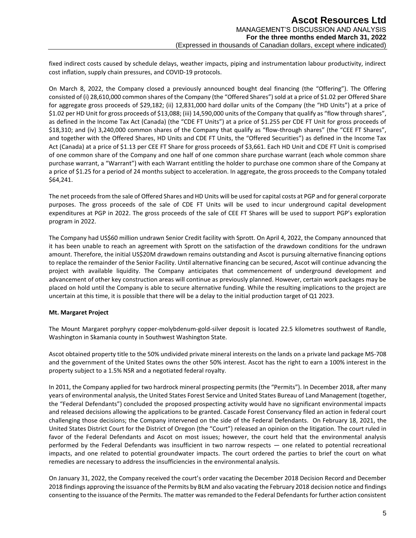fixed indirect costs caused by schedule delays, weather impacts, piping and instrumentation labour productivity, indirect cost inflation, supply chain pressures, and COVID-19 protocols.

On March 8, 2022, the Company closed a previously announced bought deal financing (the "Offering"). The Offering consisted of (i) 28,610,000 common shares of the Company (the "Offered Shares") sold at a price of \$1.02 per Offered Share for aggregate gross proceeds of \$29,182; (ii) 12,831,000 hard dollar units of the Company (the "HD Units") at a price of \$1.02 per HD Unit for gross proceeds of \$13,088; (iii) 14,590,000 units of the Company that qualify as "flow through shares", as defined in the Income Tax Act (Canada) (the "CDE FT Units") at a price of \$1.255 per CDE FT Unit for gross proceeds of \$18,310; and (iv) 3,240,000 common shares of the Company that qualify as "flow-through shares" (the "CEE FT Shares", and together with the Offered Shares, HD Units and CDE FT Units, the "Offered Securities") as defined in the Income Tax Act (Canada) at a price of \$1.13 per CEE FT Share for gross proceeds of \$3,661. Each HD Unit and CDE FT Unit is comprised of one common share of the Company and one half of one common share purchase warrant (each whole common share purchase warrant, a "Warrant") with each Warrant entitling the holder to purchase one common share of the Company at a price of \$1.25 for a period of 24 months subject to acceleration. In aggregate, the gross proceeds to the Company totaled \$64,241.

The net proceeds from the sale of Offered Shares and HD Units will be used for capital costs at PGP and for general corporate purposes. The gross proceeds of the sale of CDE FT Units will be used to incur underground capital development expenditures at PGP in 2022. The gross proceeds of the sale of CEE FT Shares will be used to support PGP's exploration program in 2022.

The Company had US\$60 million undrawn Senior Credit facility with Sprott. On April 4, 2022, the Company announced that it has been unable to reach an agreement with Sprott on the satisfaction of the drawdown conditions for the undrawn amount. Therefore, the initial US\$20M drawdown remains outstanding and Ascot is pursuing alternative financing options to replace the remainder of the Senior Facility. Until alternative financing can be secured, Ascot will continue advancing the project with available liquidity. The Company anticipates that commencement of underground development and advancement of other key construction areas will continue as previously planned. However, certain work packages may be placed on hold until the Company is able to secure alternative funding. While the resulting implications to the project are uncertain at this time, it is possible that there will be a delay to the initial production target of Q1 2023.

# **Mt. Margaret Project**

The Mount Margaret porphyry copper-molybdenum-gold-silver deposit is located 22.5 kilometres southwest of Randle, Washington in Skamania county in Southwest Washington State.

Ascot obtained property title to the 50% undivided private mineral interests on the lands on a private land package MS-708 and the government of the United States owns the other 50% interest. Ascot has the right to earn a 100% interest in the property subject to a 1.5% NSR and a negotiated federal royalty.

In 2011, the Company applied for two hardrock mineral prospecting permits (the "Permits"). In December 2018, after many years of environmental analysis, the United States Forest Service and United States Bureau of Land Management (together, the "Federal Defendants") concluded the proposed prospecting activity would have no significant environmental impacts and released decisions allowing the applications to be granted. Cascade Forest Conservancy filed an action in federal court challenging those decisions; the Company intervened on the side of the Federal Defendants. On February 18, 2021, the United States District Court for the District of Oregon (the "Court") released an opinion on the litigation. The court ruled in favor of the Federal Defendants and Ascot on most issues; however, the court held that the environmental analysis performed by the Federal Defendants was insufficient in two narrow respects — one related to potential recreational impacts, and one related to potential groundwater impacts. The court ordered the parties to brief the court on what remedies are necessary to address the insufficiencies in the environmental analysis.

On January 31, 2022, the Company received the court's order vacating the December 2018 Decision Record and December 2018 findings approving the issuance of the Permits by BLM and also vacating the February 2018 decision notice and findings consenting to the issuance of the Permits. The matter was remanded to the Federal Defendants for further action consistent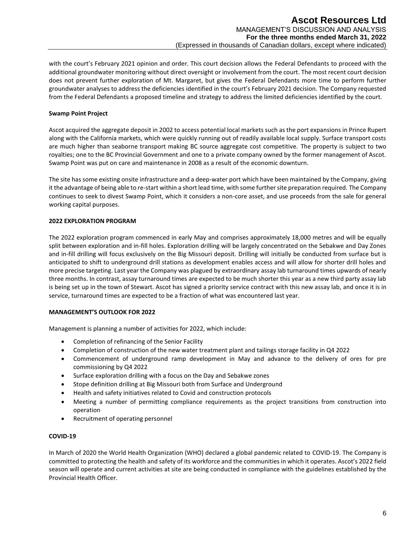with the court's February 2021 opinion and order. This court decision allows the Federal Defendants to proceed with the additional groundwater monitoring without direct oversight or involvement from the court. The most recent court decision does not prevent further exploration of Mt. Margaret, but gives the Federal Defendants more time to perform further groundwater analyses to address the deficiencies identified in the court's February 2021 decision. The Company requested from the Federal Defendants a proposed timeline and strategy to address the limited deficiencies identified by the court.

## **Swamp Point Project**

Ascot acquired the aggregate deposit in 2002 to access potential local markets such as the port expansions in Prince Rupert along with the California markets, which were quickly running out of readily available local supply. Surface transport costs are much higher than seaborne transport making BC source aggregate cost competitive. The property is subject to two royalties; one to the BC Provincial Government and one to a private company owned by the former management of Ascot. Swamp Point was put on care and maintenance in 2008 as a result of the economic downturn.

The site has some existing onsite infrastructure and a deep-water port which have been maintained by the Company, giving it the advantage of being able to re-start within a short lead time, with some further site preparation required. The Company continues to seek to divest Swamp Point, which it considers a non-core asset, and use proceeds from the sale for general working capital purposes.

# **2022 EXPLORATION PROGRAM**

The 2022 exploration program commenced in early May and comprises approximately 18,000 metres and will be equally split between exploration and in-fill holes. Exploration drilling will be largely concentrated on the Sebakwe and Day Zones and in-fill drilling will focus exclusively on the Big Missouri deposit. Drilling will initially be conducted from surface but is anticipated to shift to underground drill stations as development enables access and will allow for shorter drill holes and more precise targeting. Last year the Company was plagued by extraordinary assay lab turnaround times upwards of nearly three months. In contrast, assay turnaround times are expected to be much shorter this year as a new third party assay lab is being set up in the town of Stewart. Ascot has signed a priority service contract with this new assay lab, and once it is in service, turnaround times are expected to be a fraction of what was encountered last year.

#### **MANAGEMENT'S OUTLOOK FOR 2022**

Management is planning a number of activities for 2022, which include:

- Completion of refinancing of the Senior Facility
- Completion of construction of the new water treatment plant and tailings storage facility in Q4 2022
- Commencement of underground ramp development in May and advance to the delivery of ores for pre commissioning by Q4 2022
- Surface exploration drilling with a focus on the Day and Sebakwe zones
- Stope definition drilling at Big Missouri both from Surface and Underground
- Health and safety initiatives related to Covid and construction protocols
- Meeting a number of permitting compliance requirements as the project transitions from construction into operation
- Recruitment of operating personnel

## **COVID-19**

In March of 2020 the World Health Organization (WHO) declared a global pandemic related to COVID-19. The Company is committed to protecting the health and safety of its workforce and the communities in which it operates. Ascot's 2022 field season will operate and current activities at site are being conducted in compliance with the guidelines established by the Provincial Health Officer.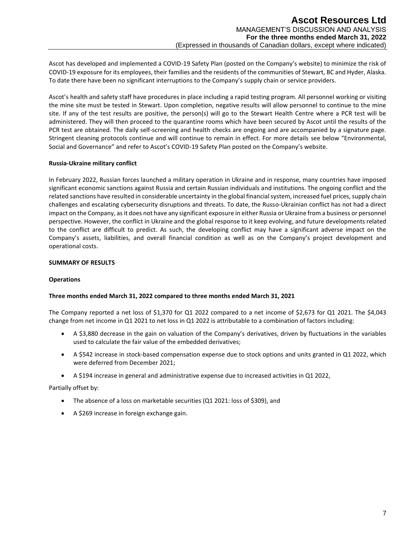Ascot has developed and implemented a COVID-19 Safety Plan (posted on the Company's website) to minimize the risk of COVID-19 exposure for its employees, their families and the residents of the communities of Stewart, BC and Hyder, Alaska. To date there have been no significant interruptions to the Company's supply chain or service providers.

Ascot's health and safety staff have procedures in place including a rapid testing program. All personnel working or visiting the mine site must be tested in Stewart. Upon completion, negative results will allow personnel to continue to the mine site. If any of the test results are positive, the person(s) will go to the Stewart Health Centre where a PCR test will be administered. They will then proceed to the quarantine rooms which have been secured by Ascot until the results of the PCR test are obtained. The daily self-screening and health checks are ongoing and are accompanied by a signature page. Stringent cleaning protocols continue and will continue to remain in effect. For more details see below "Environmental, Social and Governance" and refer to Ascot's COVID-19 Safety Plan posted on the Company's website.

## **Russia-Ukraine military conflict**

In February 2022, Russian forces launched a military operation in Ukraine and in response, many countries have imposed significant economic sanctions against Russia and certain Russian individuals and institutions. The ongoing conflict and the related sanctions have resulted in considerable uncertainty in the global financial system, increased fuel prices, supply chain challenges and escalating cybersecurity disruptions and threats. To date, the Russo-Ukrainian conflict has not had a direct impact on the Company, as it does not have any significant exposure in either Russia or Ukraine from a business or personnel perspective. However, the conflict in Ukraine and the global response to it keep evolving, and future developments related to the conflict are difficult to predict. As such, the developing conflict may have a significant adverse impact on the Company's assets, liabilities, and overall financial condition as well as on the Company's project development and operational costs.

## **SUMMARY OF RESULTS**

#### **Operations**

# **Three months ended March 31, 2022 compared to three months ended March 31, 2021**

The Company reported a net loss of \$1,370 for Q1 2022 compared to a net income of \$2,673 for Q1 2021. The \$4,043 change from net income in Q1 2021 to net loss in Q1 2022 is attributable to a combination of factors including:

- A \$3,880 decrease in the gain on valuation of the Company's derivatives, driven by fluctuations in the variables used to calculate the fair value of the embedded derivatives;
- A \$542 increase in stock-based compensation expense due to stock options and units granted in Q1 2022, which were deferred from December 2021;
- A \$194 increase in general and administrative expense due to increased activities in Q1 2022,

#### Partially offset by:

- The absence of a loss on marketable securities (Q1 2021: loss of \$309), and
- A \$269 increase in foreign exchange gain.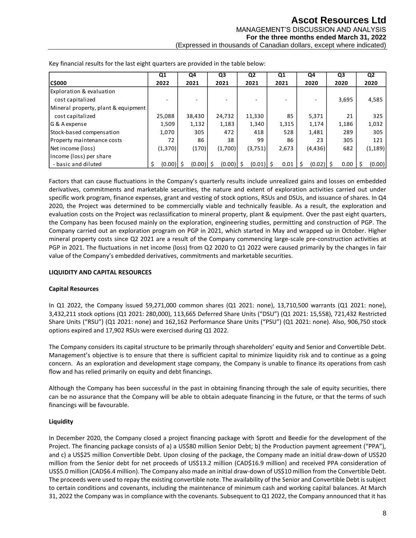|                                                                                                                                                                                                                                                                                                                                                                                                                                                                                                                                                                                                                                                                                                                                                                                                                                                                                                                                                                                                                                                                                                                                                                                                                                                                                                    | Q1                | Q <sub>4</sub> | Q3          | Q <sub>2</sub> | Q1       | Q4                | Q3    | Q2           |
|----------------------------------------------------------------------------------------------------------------------------------------------------------------------------------------------------------------------------------------------------------------------------------------------------------------------------------------------------------------------------------------------------------------------------------------------------------------------------------------------------------------------------------------------------------------------------------------------------------------------------------------------------------------------------------------------------------------------------------------------------------------------------------------------------------------------------------------------------------------------------------------------------------------------------------------------------------------------------------------------------------------------------------------------------------------------------------------------------------------------------------------------------------------------------------------------------------------------------------------------------------------------------------------------------|-------------------|----------------|-------------|----------------|----------|-------------------|-------|--------------|
| <b>C\$000</b>                                                                                                                                                                                                                                                                                                                                                                                                                                                                                                                                                                                                                                                                                                                                                                                                                                                                                                                                                                                                                                                                                                                                                                                                                                                                                      | 2022              | 2021           | 2021        | 2021           | 2021     | 2020              | 2020  | 2020         |
| Exploration & evaluation                                                                                                                                                                                                                                                                                                                                                                                                                                                                                                                                                                                                                                                                                                                                                                                                                                                                                                                                                                                                                                                                                                                                                                                                                                                                           |                   |                |             |                |          |                   |       |              |
| cost capitalized                                                                                                                                                                                                                                                                                                                                                                                                                                                                                                                                                                                                                                                                                                                                                                                                                                                                                                                                                                                                                                                                                                                                                                                                                                                                                   |                   |                |             |                |          |                   | 3,695 | 4,585        |
| Mineral property, plant & equipment                                                                                                                                                                                                                                                                                                                                                                                                                                                                                                                                                                                                                                                                                                                                                                                                                                                                                                                                                                                                                                                                                                                                                                                                                                                                |                   |                |             |                |          |                   |       |              |
| cost capitalized                                                                                                                                                                                                                                                                                                                                                                                                                                                                                                                                                                                                                                                                                                                                                                                                                                                                                                                                                                                                                                                                                                                                                                                                                                                                                   | 25,088            | 38,430         | 24,732      | 11,330         | 85       | 5,371             | 21    | 325          |
| G & A expense                                                                                                                                                                                                                                                                                                                                                                                                                                                                                                                                                                                                                                                                                                                                                                                                                                                                                                                                                                                                                                                                                                                                                                                                                                                                                      | 1,509             | 1,132          | 1,183       | 1,340          | 1,315    | 1,174             | 1,186 | 1,032        |
| Stock-based compensation                                                                                                                                                                                                                                                                                                                                                                                                                                                                                                                                                                                                                                                                                                                                                                                                                                                                                                                                                                                                                                                                                                                                                                                                                                                                           | 1,070             | 305            | 472         | 418            | 528      | 1,481             | 289   | 305          |
| Property maintenance costs                                                                                                                                                                                                                                                                                                                                                                                                                                                                                                                                                                                                                                                                                                                                                                                                                                                                                                                                                                                                                                                                                                                                                                                                                                                                         | 72                | 86             | 38          | 99             | 86       | 23                | 305   | 121          |
| Net income (loss)                                                                                                                                                                                                                                                                                                                                                                                                                                                                                                                                                                                                                                                                                                                                                                                                                                                                                                                                                                                                                                                                                                                                                                                                                                                                                  | (1, 370)          | (170)          | (1,700)     | (3,751)        | 2,673    | (4, 436)          | 682   | (1, 189)     |
| Income (loss) per share                                                                                                                                                                                                                                                                                                                                                                                                                                                                                                                                                                                                                                                                                                                                                                                                                                                                                                                                                                                                                                                                                                                                                                                                                                                                            |                   |                |             |                |          |                   |       |              |
| - basic and diluted                                                                                                                                                                                                                                                                                                                                                                                                                                                                                                                                                                                                                                                                                                                                                                                                                                                                                                                                                                                                                                                                                                                                                                                                                                                                                | $(0.00)$ \$<br>\$ | $(0.00)$ \$    | $(0.00)$ \$ | $(0.01)$ \$    | $0.01\,$ | $(0.02)$ \$<br>\$ | 0.00  | \$<br>(0.00) |
| Factors that can cause fluctuations in the Company's quarterly results include unrealized gains and losses on embedded<br>derivatives, commitments and marketable securities, the nature and extent of exploration activities carried out under<br>specific work program, finance expenses, grant and vesting of stock options, RSUs and DSUs, and issuance of shares. In Q4<br>2020, the Project was determined to be commercially viable and technically feasible. As a result, the exploration and<br>evaluation costs on the Project was reclassification to mineral property, plant & equipment. Over the past eight quarters,<br>the Company has been focused mainly on the exploration, engineering studies, permitting and construction of PGP. The<br>Company carried out an exploration program on PGP in 2021, which started in May and wrapped up in October. Higher<br>mineral property costs since Q2 2021 are a result of the Company commencing large-scale pre-construction activities at<br>PGP in 2021. The fluctuations in net income (loss) from Q2 2020 to Q1 2022 were caused primarily by the changes in fair<br>value of the Company's embedded derivatives, commitments and marketable securities.<br><b>LIQUIDITY AND CAPITAL RESOURCES</b><br><b>Capital Resources</b> |                   |                |             |                |          |                   |       |              |
| In Q1 2022, the Company issued 59,271,000 common shares (Q1 2021: none), 13,710,500 warrants (Q1 2021: none),<br>3,432,211 stock options (Q1 2021: 280,000), 113,665 Deferred Share Units ("DSU") (Q1 2021: 15,558), 721,432 Restricted<br>Share Units ("RSU") (Q1 2021: none) and 162,162 Performance Share Units ("PSU") (Q1 2021: none). Also, 906,750 stock<br>options expired and 17,902 RSUs were exercised during Q1 2022.                                                                                                                                                                                                                                                                                                                                                                                                                                                                                                                                                                                                                                                                                                                                                                                                                                                                  |                   |                |             |                |          |                   |       |              |
| The Company considers its capital structure to be primarily through shareholders' equity and Senior and Convertible Debt.<br>Management's objective is to ensure that there is sufficient capital to minimize liquidity risk and to continue as a going<br>concern. As an exploration and development stage company, the Company is unable to finance its operations from cash<br>flow and has relied primarily on equity and debt financings.                                                                                                                                                                                                                                                                                                                                                                                                                                                                                                                                                                                                                                                                                                                                                                                                                                                     |                   |                |             |                |          |                   |       |              |
| Although the Company has been successful in the past in obtaining financing through the sale of equity securities, there<br>can be no assurance that the Company will be able to obtain adequate financing in the future, or that the terms of such<br>financings will be favourable.                                                                                                                                                                                                                                                                                                                                                                                                                                                                                                                                                                                                                                                                                                                                                                                                                                                                                                                                                                                                              |                   |                |             |                |          |                   |       |              |
| Liquidity                                                                                                                                                                                                                                                                                                                                                                                                                                                                                                                                                                                                                                                                                                                                                                                                                                                                                                                                                                                                                                                                                                                                                                                                                                                                                          |                   |                |             |                |          |                   |       |              |
| In December 2020, the Company closed a project financing package with Sprott and Beedie for the development of the<br>Project. The financing package consists of a) a US\$80 million Senior Debt; b) the Production payment agreement ("PPA"),<br>and c) a US\$25 million Convertible Debt. Upon closing of the package, the Company made an initial draw-down of US\$20<br>million from the Senior debt for net proceeds of US\$13.2 million (CAD\$16.9 million) and received PPA consideration of<br>US\$5.0 million (CAD\$6.4 million). The Company also made an initial draw-down of US\$10 million from the Convertible Debt.<br>The proceeds were used to repay the existing convertible note. The availability of the Senior and Convertible Debt is subject<br>to certain conditions and covenants, including the maintenance of minimum cash and working capital balances. At March<br>31, 2022 the Company was in compliance with the covenants. Subsequent to Q1 2022, the Company announced that it has                                                                                                                                                                                                                                                                                |                   |                |             |                |          |                   |       |              |

Key financial results for the last eight quarters are provided in the table below:

# **LIQUIDITY AND CAPITAL RESOURCES**

# **Capital Resources**

# **Liquidity**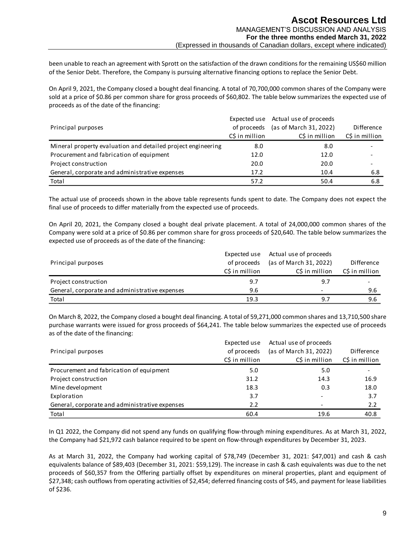been unable to reach an agreement with Sprott on the satisfaction of the drawn conditions for the remaining US\$60 million of the Senior Debt. Therefore, the Company is pursuing alternative financing options to replace the Senior Debt.

On April 9, 2021, the Company closed a bought deal financing. A total of 70,700,000 common shares of the Company were sold at a price of \$0.86 per common share for gross proceeds of \$60,802. The table below summarizes the expected use of proceeds as of the date of the financing:

|                                                              |                | Expected use Actual use of proceeds |                |
|--------------------------------------------------------------|----------------|-------------------------------------|----------------|
| Principal purposes                                           | of proceeds    | (as of March 31, 2022)              | Difference     |
|                                                              | C\$ in million | C\$ in million                      | C\$ in million |
| Mineral property evaluation and detailed project engineering | 8.0            | 8.0                                 |                |
| Procurement and fabrication of equipment                     | 12.0           | 12.0                                |                |
| Project construction                                         | 20.0           | 20.0                                |                |
| General, corporate and administrative expenses               | 17.2           | 10.4                                | 6.8            |
| Total                                                        | 57.2           | 50.4                                | 6.8            |

The actual use of proceeds shown in the above table represents funds spent to date. The Company does not expect the final use of proceeds to differ materially from the expected use of proceeds.

On April 20, 2021, the Company closed a bought deal private placement. A total of 24,000,000 common shares of the Company were sold at a price of \$0.86 per common share for gross proceeds of \$20,640. The table below summarizes the expected use of proceeds as of the date of the financing:

| Principal purposes                             | Expected use<br>of proceeds | Actual use of proceeds<br>(as of March 31, 2022) | Difference     |
|------------------------------------------------|-----------------------------|--------------------------------------------------|----------------|
|                                                | C\$ in million              | C\$ in million                                   | C\$ in million |
| Project construction                           | 9.7                         | 9.7                                              |                |
| General, corporate and administrative expenses | 9.6                         |                                                  | 9.6            |
| Total                                          | 19.3                        | 9.7                                              | 9.6            |

On March 8, 2022, the Company closed a bought deal financing. A total of 59,271,000 common shares and 13,710,500 share purchase warrants were issued for gross proceeds of \$64,241. The table below summarizes the expected use of proceeds as of the date of the financing:

| Principal purposes                             | Expected use<br>of proceeds<br>C\$ in million | Actual use of proceeds<br>(as of March 31, 2022)<br>C\$ in million | Difference<br>C\$ in million |
|------------------------------------------------|-----------------------------------------------|--------------------------------------------------------------------|------------------------------|
| Procurement and fabrication of equipment       | 5.0                                           | 5.0                                                                |                              |
| Project construction                           | 31.2                                          | 14.3                                                               | 16.9                         |
| Mine development                               | 18.3                                          | 0.3                                                                | 18.0                         |
| Exploration                                    | 3.7                                           | $\overline{\phantom{0}}$                                           | 3.7                          |
| General, corporate and administrative expenses | 2.2                                           |                                                                    | 2.2                          |
| Total                                          | 60.4                                          | 19.6                                                               | 40.8                         |

In Q1 2022, the Company did not spend any funds on qualifying flow-through mining expenditures. As at March 31, 2022, the Company had \$21,972 cash balance required to be spent on flow-through expenditures by December 31, 2023.

As at March 31, 2022, the Company had working capital of \$78,749 (December 31, 2021: \$47,001) and cash & cash equivalents balance of \$89,403 (December 31, 2021: \$59,129). The increase in cash & cash equivalents was due to the net proceeds of \$60,357 from the Offering partially offset by expenditures on mineral properties, plant and equipment of \$27,348; cash outflows from operating activities of \$2,454; deferred financing costs of \$45, and payment for lease liabilities of \$236.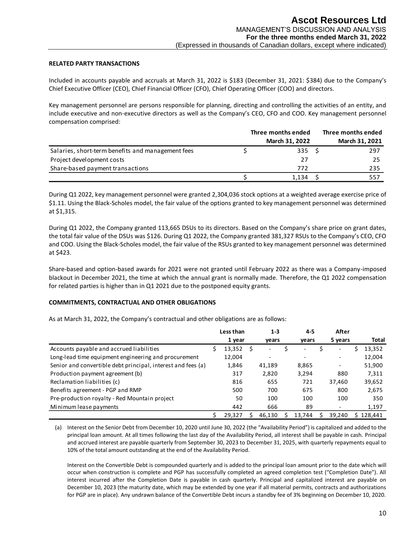## **RELATED PARTY TRANSACTIONS**

Included in accounts payable and accruals at March 31, 2022 is \$183 (December 31, 2021: \$384) due to the Company's Chief Executive Officer (CEO), Chief Financial Officer (CFO), Chief Operating Officer (COO) and directors.

Key management personnel are persons responsible for planning, directing and controlling the activities of an entity, and include executive and non-executive directors as well as the Company's CEO, CFO and COO. Key management personnel compensation comprised:

|                                                   | Three months ended | Three months ended |
|---------------------------------------------------|--------------------|--------------------|
|                                                   | March 31, 2022     | March 31, 2021     |
| Salaries, short-term benefits and management fees | 335                | 297                |
| Project development costs                         | 27                 | 25                 |
| Share-based payment transactions                  | 772                | 235                |
|                                                   | 1,134              | 557                |

#### **COMMITMENTS, CONTRACTUAL AND OTHER OBLIGATIONS**

|                                                                                                                                                                                                                                                                                                                                                                                       |                 |         | Three months ended |     |                                   |    | Three months ended        |                  |
|---------------------------------------------------------------------------------------------------------------------------------------------------------------------------------------------------------------------------------------------------------------------------------------------------------------------------------------------------------------------------------------|-----------------|---------|--------------------|-----|-----------------------------------|----|---------------------------|------------------|
|                                                                                                                                                                                                                                                                                                                                                                                       |                 |         |                    |     | March 31, 2022                    |    |                           | March 31, 2021   |
| Salaries, short-term benefits and management fees                                                                                                                                                                                                                                                                                                                                     | \$              |         |                    |     | 335                               | \$ |                           | 297              |
| Project development costs                                                                                                                                                                                                                                                                                                                                                             |                 |         |                    |     | 27                                |    |                           | 25               |
| Share-based payment transactions                                                                                                                                                                                                                                                                                                                                                      |                 |         |                    |     | 772                               |    |                           | 235              |
|                                                                                                                                                                                                                                                                                                                                                                                       | \$              |         |                    |     | 1,134                             | \$ |                           | 557              |
| During Q1 2022, key management personnel were granted 2,304,036 stock options at a weighted average exercise price of<br>\$1.11. Using the Black-Scholes model, the fair value of the options granted to key management personnel was determined<br>at \$1,315.                                                                                                                       |                 |         |                    |     |                                   |    |                           |                  |
| During Q1 2022, the Company granted 113,665 DSUs to its directors. Based on the Company's share price on grant dates,<br>the total fair value of the DSUs was \$126. During Q1 2022, the Company granted 381,327 RSUs to the Company's CEO, CFO<br>and COO. Using the Black-Scholes model, the fair value of the RSUs granted to key management personnel was determined<br>at \$423. |                 |         |                    |     |                                   |    |                           |                  |
| Share-based and option-based awards for 2021 were not granted until February 2022 as there was a Company-imposed<br>blackout in December 2021, the time at which the annual grant is normally made. Therefore, the Q1 2022 compensation                                                                                                                                               |                 |         |                    |     |                                   |    |                           |                  |
| for related parties is higher than in Q1 2021 due to the postponed equity grants.                                                                                                                                                                                                                                                                                                     |                 |         |                    |     |                                   |    |                           |                  |
| <b>COMMITMENTS, CONTRACTUAL AND OTHER OBLIGATIONS</b>                                                                                                                                                                                                                                                                                                                                 |                 |         |                    |     |                                   |    |                           |                  |
| As at March 31, 2022, the Company's contractual and other obligations are as follows:                                                                                                                                                                                                                                                                                                 |                 |         |                    |     |                                   |    |                           |                  |
|                                                                                                                                                                                                                                                                                                                                                                                       | Less than       |         | $1 - 3$            |     | 4-5                               |    | After                     |                  |
|                                                                                                                                                                                                                                                                                                                                                                                       | 1 year          |         | years              |     | years<br>$\overline{\phantom{0}}$ |    | 5 years<br>$\blacksquare$ | Total            |
| Accounts payable and accrued liabilities                                                                                                                                                                                                                                                                                                                                              | \$<br>13,352    | $\zeta$ |                    | \$  |                                   | \$ |                           | \$<br>13,352     |
| Long-lead time equipment engineering and procurement<br>Senior and convertible debt principal, interest and fees (a)                                                                                                                                                                                                                                                                  | 12,004<br>1,846 |         | 41,189             |     | 8,865                             |    |                           | 12,004<br>51,900 |
| Production payment agreement (b)                                                                                                                                                                                                                                                                                                                                                      | 317             |         | 2,820              |     | 3,294                             |    | 880                       | 7,311            |
| Reclamation liabilities (c)                                                                                                                                                                                                                                                                                                                                                           | 816             |         | 655                |     | 721                               |    | 37,460                    | 39,652           |
| Benefits agreement - PGP and RMP                                                                                                                                                                                                                                                                                                                                                      | 500             |         | 700                |     | 675                               |    | 800                       | 2,675            |
| Pre-production royalty - Red Mountain project                                                                                                                                                                                                                                                                                                                                         | 50              |         | 100                |     | 100                               |    | 100                       | 350              |
| Minimum lease payments                                                                                                                                                                                                                                                                                                                                                                | 442             |         | 666                |     | 89                                |    | $\overline{\phantom{a}}$  | 1,197            |
|                                                                                                                                                                                                                                                                                                                                                                                       | \$<br>29,327    | S       | 46,130             | \$. | 13,744                            | s  | 39,240                    | \$128,441        |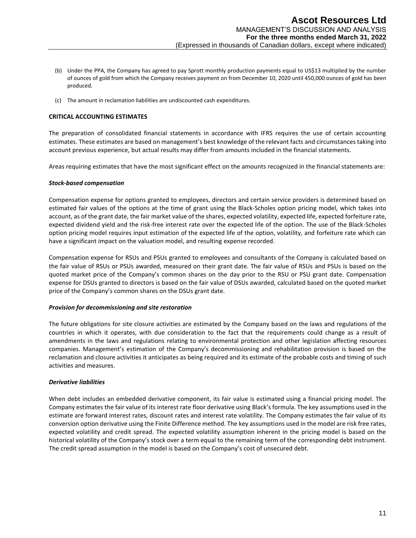- (b) Under the PPA, the Company has agreed to pay Sprott monthly production payments equal to US\$13 multiplied by the number of ounces of gold from which the Company receives payment on from December 10, 2020 until 450,000 ounces of gold has been produced.
- (c) The amount in reclamation liabilities are undiscounted cash expenditures.

## **CRITICAL ACCOUNTING ESTIMATES**

The preparation of consolidated financial statements in accordance with IFRS requires the use of certain accounting estimates. These estimates are based on management's best knowledge of the relevant facts and circumstances taking into account previous experience, but actual results may differ from amounts included in the financial statements.

Areas requiring estimates that have the most significant effect on the amounts recognized in the financial statements are:

#### *Stock-based compensation*

Compensation expense for options granted to employees, directors and certain service providers is determined based on estimated fair values of the options at the time of grant using the Black-Scholes option pricing model, which takes into account, as of the grant date, the fair market value of the shares, expected volatility, expected life, expected forfeiture rate, expected dividend yield and the risk-free interest rate over the expected life of the option. The use of the Black-Scholes option pricing model requires input estimation of the expected life of the option, volatility, and forfeiture rate which can have a significant impact on the valuation model, and resulting expense recorded.

Compensation expense for RSUs and PSUs granted to employees and consultants of the Company is calculated based on the fair value of RSUs or PSUs awarded, measured on their grant date. The fair value of RSUs and PSUs is based on the quoted market price of the Company's common shares on the day prior to the RSU or PSU grant date. Compensation expense for DSUs granted to directors is based on the fair value of DSUs awarded, calculated based on the quoted market price of the Company's common shares on the DSUs grant date.

#### *Provision for decommissioning and site restoration*

The future obligations for site closure activities are estimated by the Company based on the laws and regulations of the countries in which it operates, with due consideration to the fact that the requirements could change as a result of amendments in the laws and regulations relating to environmental protection and other legislation affecting resources companies. Management's estimation of the Company's decommissioning and rehabilitation provision is based on the reclamation and closure activities it anticipates as being required and its estimate of the probable costs and timing of such activities and measures.

#### *Derivative liabilities*

When debt includes an embedded derivative component, its fair value is estimated using a financial pricing model. The Company estimates the fair value of its interest rate floor derivative using Black's formula. The key assumptions used in the estimate are forward interest rates, discount rates and interest rate volatility. The Company estimates the fair value of its conversion option derivative using the Finite Difference method. The key assumptions used in the model are risk free rates, expected volatility and credit spread. The expected volatility assumption inherent in the pricing model is based on the historical volatility of the Company's stock over a term equal to the remaining term of the corresponding debt instrument. The credit spread assumption in the model is based on the Company's cost of unsecured debt.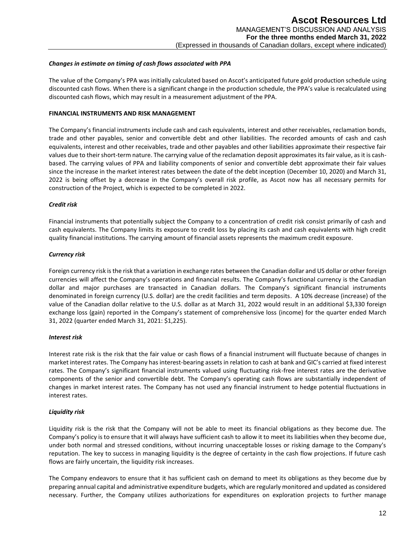## *Changes in estimate on timing of cash flows associated with PPA*

The value of the Company's PPA was initially calculated based on Ascot's anticipated future gold production schedule using discounted cash flows. When there is a significant change in the production schedule, the PPA's value is recalculated using discounted cash flows, which may result in a measurement adjustment of the PPA.

#### **FINANCIAL INSTRUMENTS AND RISK MANAGEMENT**

The Company's financial instruments include cash and cash equivalents, interest and other receivables, reclamation bonds, trade and other payables, senior and convertible debt and other liabilities. The recorded amounts of cash and cash equivalents, interest and other receivables, trade and other payables and other liabilities approximate their respective fair values due to their short‐term nature. The carrying value of the reclamation deposit approximates its fair value, as it is cashbased. The carrying values of PPA and liability components of senior and convertible debt approximate their fair values since the increase in the market interest rates between the date of the debt inception (December 10, 2020) and March 31, 2022 is being offset by a decrease in the Company's overall risk profile, as Ascot now has all necessary permits for construction of the Project, which is expected to be completed in 2022.

## *Credit risk*

Financial instruments that potentially subject the Company to a concentration of credit risk consist primarily of cash and cash equivalents. The Company limits its exposure to credit loss by placing its cash and cash equivalents with high credit quality financial institutions. The carrying amount of financial assets represents the maximum credit exposure.

## *Currency risk*

Foreign currency risk is the risk that a variation in exchange rates between the Canadian dollar and US dollar or other foreign currencies will affect the Company's operations and financial results. The Company's functional currency is the Canadian dollar and major purchases are transacted in Canadian dollars. The Company's significant financial instruments denominated in foreign currency (U.S. dollar) are the credit facilities and term deposits. A 10% decrease (increase) of the value of the Canadian dollar relative to the U.S. dollar as at March 31, 2022 would result in an additional \$3,330 foreign exchange loss (gain) reported in the Company's statement of comprehensive loss (income) for the quarter ended March 31, 2022 (quarter ended March 31, 2021: \$1,225).

#### *Interest risk*

Interest rate risk is the risk that the fair value or cash flows of a financial instrument will fluctuate because of changes in market interest rates. The Company has interest-bearing assets in relation to cash at bank and GIC's carried at fixed interest rates. The Company's significant financial instruments valued using fluctuating risk-free interest rates are the derivative components of the senior and convertible debt. The Company's operating cash flows are substantially independent of changes in market interest rates. The Company has not used any financial instrument to hedge potential fluctuations in interest rates.

# *Liquidity risk*

Liquidity risk is the risk that the Company will not be able to meet its financial obligations as they become due. The Company's policy is to ensure that it will always have sufficient cash to allow it to meet its liabilities when they become due, under both normal and stressed conditions, without incurring unacceptable losses or risking damage to the Company's reputation. The key to success in managing liquidity is the degree of certainty in the cash flow projections. If future cash flows are fairly uncertain, the liquidity risk increases.

The Company endeavors to ensure that it has sufficient cash on demand to meet its obligations as they become due by preparing annual capital and administrative expenditure budgets, which are regularly monitored and updated as considered necessary. Further, the Company utilizes authorizations for expenditures on exploration projects to further manage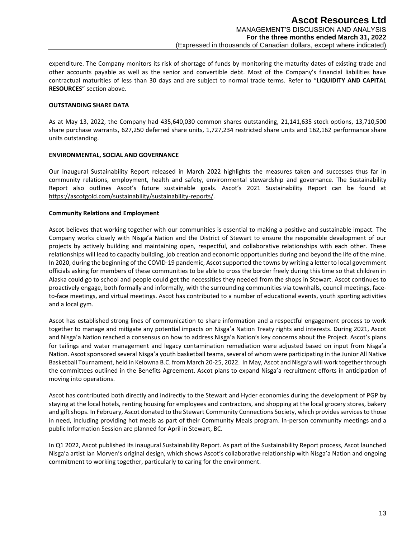expenditure. The Company monitors its risk of shortage of funds by monitoring the maturity dates of existing trade and other accounts payable as well as the senior and convertible debt. Most of the Company's financial liabilities have contractual maturities of less than 30 days and are subject to normal trade terms. Refer to "**LIQUIDITY AND CAPITAL RESOURCES**" section above.

## **OUTSTANDING SHARE DATA**

As at May 13, 2022, the Company had 435,640,030 common shares outstanding, 21,141,635 stock options, 13,710,500 share purchase warrants, 627,250 deferred share units, 1,727,234 restricted share units and 162,162 performance share units outstanding.

## **ENVIRONMENTAL, SOCIAL AND GOVERNANCE**

Our inaugural Sustainability Report released in March 2022 highlights the measures taken and successes thus far in community relations, employment, health and safety, environmental stewardship and governance. The Sustainability Report also outlines Ascot's future sustainable goals. Ascot's 2021 Sustainability Report can be found at [https://ascotgold.com/sustainability/sustainability-reports/.](https://ascotgold.com/sustainability/sustainability-reports/)

## **Community Relations and Employment**

Ascot believes that working together with our communities is essential to making a positive and sustainable impact. The Company works closely with Nisga'a Nation and the District of Stewart to ensure the responsible development of our projects by actively building and maintaining open, respectful, and collaborative relationships with each other. These relationships will lead to capacity building, job creation and economic opportunities during and beyond the life of the mine. In 2020, during the beginning of the COVID-19 pandemic, Ascot supported the towns by writing a letter to local government officials asking for members of these communities to be able to cross the border freely during this time so that children in Alaska could go to school and people could get the necessities they needed from the shops in Stewart. Ascot continues to proactively engage, both formally and informally, with the surrounding communities via townhalls, council meetings, faceto-face meetings, and virtual meetings. Ascot has contributed to a number of educational events, youth sporting activities and a local gym.

Ascot has established strong lines of communication to share information and a respectful engagement process to work together to manage and mitigate any potential impacts on Nisga'a Nation Treaty rights and interests. During 2021, Ascot and Nisga'a Nation reached a consensus on how to address Nisga'a Nation's key concerns about the Project. Ascot's plans for tailings and water management and legacy contamination remediation were adjusted based on input from Nisga'a Nation. Ascot sponsored several Nisga'a youth basketball teams, several of whom were participating in the Junior All Native Basketball Tournament, held in Kelowna B.C. from March 20-25, 2022. In May, Ascot and Nisga'a will work together through the committees outlined in the Benefits Agreement. Ascot plans to expand Nisga'a recruitment efforts in anticipation of moving into operations.

Ascot has contributed both directly and indirectly to the Stewart and Hyder economies during the development of PGP by staying at the local hotels, renting housing for employees and contractors, and shopping at the local grocery stores, bakery and gift shops. In February, Ascot donated to the Stewart Community Connections Society, which provides services to those in need, including providing hot meals as part of their Community Meals program. In-person community meetings and a public Information Session are planned for April in Stewart, BC.

In Q1 2022, Ascot published its inaugural Sustainability Report. As part of the Sustainability Report process, Ascot launched Nisga'a artist Ian Morven's original design, which shows Ascot's collaborative relationship with Nisga'a Nation and ongoing commitment to working together, particularly to caring for the environment.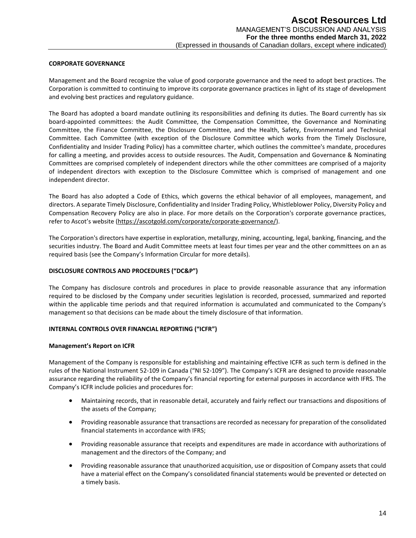#### **CORPORATE GOVERNANCE**

Management and the Board recognize the value of good corporate governance and the need to adopt best practices. The Corporation is committed to continuing to improve its corporate governance practices in light of its stage of development and evolving best practices and regulatory guidance.

The Board has adopted a board mandate outlining its responsibilities and defining its duties. The Board currently has six board-appointed committees: the Audit Committee, the Compensation Committee, the Governance and Nominating Committee, the Finance Committee, the Disclosure Committee, and the Health, Safety, Environmental and Technical Committee. Each Committee (with exception of the Disclosure Committee which works from the Timely Disclosure, Confidentiality and Insider Trading Policy) has a committee charter, which outlines the committee's mandate, procedures for calling a meeting, and provides access to outside resources. The Audit, Compensation and Governance & Nominating Committees are comprised completely of independent directors while the other committees are comprised of a majority of independent directors with exception to the Disclosure Committee which is comprised of management and one independent director.

The Board has also adopted a Code of Ethics, which governs the ethical behavior of all employees, management, and directors. A separate Timely Disclosure, Confidentiality and Insider Trading Policy, Whistleblower Policy, Diversity Policy and Compensation Recovery Policy are also in place. For more details on the Corporation's corporate governance practices, refer to Ascot's website ([https://ascotgold.com/corporate/corporate-governance/\)](https://ascotgold.com/corporate/corporate-governance/).

The Corporation's directors have expertise in exploration, metallurgy, mining, accounting, legal, banking, financing, and the securities industry. The Board and Audit Committee meets at least four times per year and the other committees on an as required basis (see the Company's Information Circular for more details).

## **DISCLOSURE CONTROLS AND PROCEDURES ("DC&P")**

The Company has disclosure controls and procedures in place to provide reasonable assurance that any information required to be disclosed by the Company under securities legislation is recorded, processed, summarized and reported within the applicable time periods and that required information is accumulated and communicated to the Company's management so that decisions can be made about the timely disclosure of that information.

#### **INTERNAL CONTROLS OVER FINANCIAL REPORTING ("ICFR")**

#### **Management's Report on ICFR**

Management of the Company is responsible for establishing and maintaining effective ICFR as such term is defined in the rules of the National Instrument 52-109 in Canada ("NI 52-109"). The Company's ICFR are designed to provide reasonable assurance regarding the reliability of the Company's financial reporting for external purposes in accordance with IFRS. The Company's ICFR include policies and procedures for:

- Maintaining records, that in reasonable detail, accurately and fairly reflect our transactions and dispositions of the assets of the Company;
- Providing reasonable assurance that transactions are recorded as necessary for preparation of the consolidated financial statements in accordance with IFRS;
- Providing reasonable assurance that receipts and expenditures are made in accordance with authorizations of management and the directors of the Company; and
- Providing reasonable assurance that unauthorized acquisition, use or disposition of Company assets that could have a material effect on the Company's consolidated financial statements would be prevented or detected on a timely basis.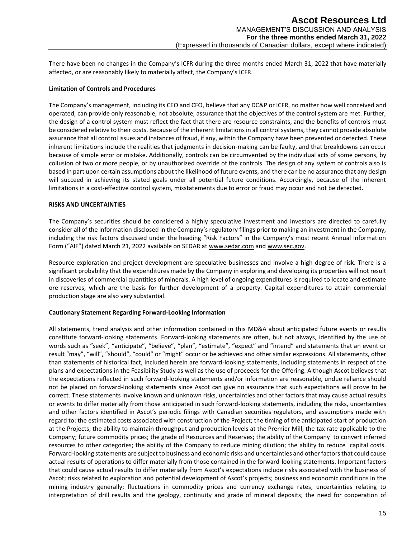There have been no changes in the Company's ICFR during the three months ended March 31, 2022 that have materially affected, or are reasonably likely to materially affect, the Company's ICFR.

## **Limitation of Controls and Procedures**

The Company's management, including its CEO and CFO, believe that any DC&P or ICFR, no matter how well conceived and operated, can provide only reasonable, not absolute, assurance that the objectives of the control system are met. Further, the design of a control system must reflect the fact that there are resource constraints, and the benefits of controls must be considered relative to their costs. Because of the inherent limitations in all control systems, they cannot provide absolute assurance that all control issues and instances of fraud, if any, within the Company have been prevented or detected. These inherent limitations include the realities that judgments in decision-making can be faulty, and that breakdowns can occur because of simple error or mistake. Additionally, controls can be circumvented by the individual acts of some persons, by collusion of two or more people, or by unauthorized override of the controls. The design of any system of controls also is based in part upon certain assumptions about the likelihood of future events, and there can be no assurance that any design will succeed in achieving its stated goals under all potential future conditions. Accordingly, because of the inherent limitations in a cost-effective control system, misstatements due to error or fraud may occur and not be detected.

#### **RISKS AND UNCERTAINTIES**

The Company's securities should be considered a highly speculative investment and investors are directed to carefully consider all of the information disclosed in the Company's regulatory filings prior to making an investment in the Company, including the risk factors discussed under the heading "Risk Factors" in the Company's most recent Annual Information Form ("AIF") dated March 21, 2022 available on SEDAR a[t www.sedar.com](http://www.sedar.com/) and [www.sec.gov.](http://www.sec.gov/)

Resource exploration and project development are speculative businesses and involve a high degree of risk. There is a significant probability that the expenditures made by the Company in exploring and developing its properties will not result in discoveries of commercial quantities of minerals. A high level of ongoing expenditures is required to locate and estimate ore reserves, which are the basis for further development of a property. Capital expenditures to attain commercial production stage are also very substantial.

# **Cautionary Statement Regarding Forward-Looking Information**

All statements, trend analysis and other information contained in this MD&A about anticipated future events or results constitute forward-looking statements. Forward-looking statements are often, but not always, identified by the use of words such as "seek", "anticipate", "believe", "plan", "estimate", "expect" and "intend" and statements that an event or result "may", "will", "should", "could" or "might" occur or be achieved and other similar expressions. All statements, other than statements of historical fact, included herein are forward-looking statements, including statements in respect of the plans and expectations in the Feasibility Study as well as the use of proceeds for the Offering. Although Ascot believes that the expectations reflected in such forward-looking statements and/or information are reasonable, undue reliance should not be placed on forward-looking statements since Ascot can give no assurance that such expectations will prove to be correct. These statements involve known and unknown risks, uncertainties and other factors that may cause actual results or events to differ materially from those anticipated in such forward-looking statements, including the risks, uncertainties and other factors identified in Ascot's periodic filings with Canadian securities regulators, and assumptions made with regard to: the estimated costs associated with construction of the Project; the timing of the anticipated start of production at the Projects; the ability to maintain throughput and production levels at the Premier Mill; the tax rate applicable to the Company; future commodity prices; the grade of Resources and Reserves; the ability of the Company to convert inferred resources to other categories; the ability of the Company to reduce mining dilution; the ability to reduce capital costs. Forward-looking statements are subject to business and economic risks and uncertainties and other factors that could cause actual results of operations to differ materially from those contained in the forward-looking statements. Important factors that could cause actual results to differ materially from Ascot's expectations include risks associated with the business of Ascot; risks related to exploration and potential development of Ascot's projects; business and economic conditions in the mining industry generally; fluctuations in commodity prices and currency exchange rates; uncertainties relating to interpretation of drill results and the geology, continuity and grade of mineral deposits; the need for cooperation of